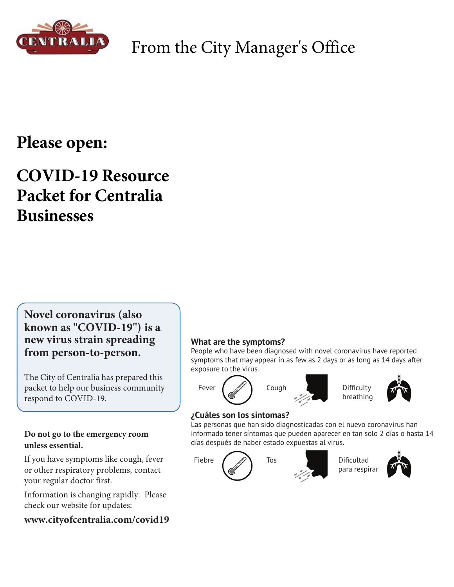

## From the City Manager's Office

## **Please open:**

## **COVID-19 Resource Packet for Centralia Businesses**

**Novel coronavirus (also known as "COVID-19") is a new virus strain spreading from person-to-person.**

The City of Centralia has prepared this packet to help our business community respond to COVID-19.

#### **Do not go to the emergency room unless essential.**

If you have symptoms like cough, fever or other respiratory problems, contact your regular doctor first.

Information is changing rapidly. Please check our website for updates:

**www.cityofcentralia.com/covid19**

#### **What are the symptoms?**

People who have been diagnosed with novel coronavirus have reported symptoms that may appear in as few as 2 days or as long as 14 days after exposure to the virus.



#### **¿Cuáles son los síntomas?**

Las personas que han sido diagnosticadas con el nuevo coronavirus han informado tener síntomas que pueden aparecer en tan solo 2 días o hasta 14 días después de haber estado expuestas al virus.





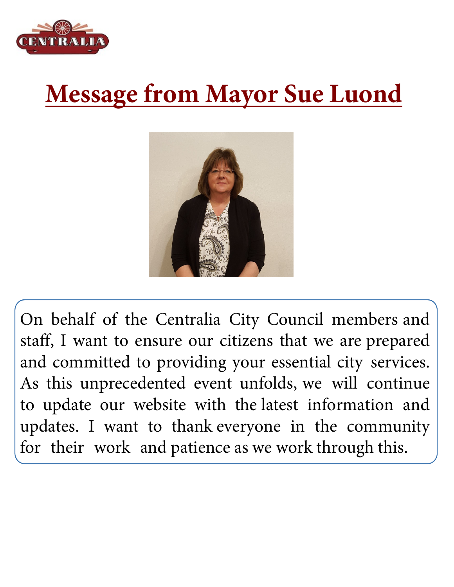

## **Message from Mayor Sue Luond**



On behalf of the Centralia City Council members and staff, I want to ensure our citizens that we are prepared and committed to providing your essential city services. As this unprecedented event unfolds, we will continue to update our website with the latest information and updates. I want to thank everyone in the community for their work and patience as we work through this.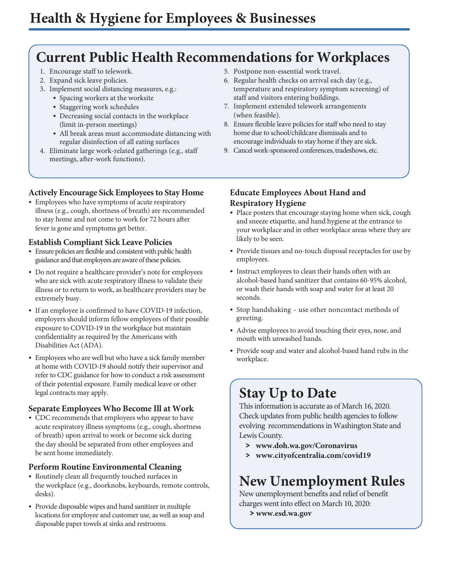## **Current Public Health Recommendations for Workplaces**

- 1. Encourage staff to telework.
- 2. Expand sick leave policies.
- 3. Implement social distancing measures, e.g.:
	- Spacing workers at the worksite
	- Staggering work schedules
	- Decreasing social contacts in the workplace (limit in-person meetings)
	- All break areas must accommodate distancing with regular disinfection of all eating surfaces
- 4. Eliminate large work-related gatherings (e.g., staff meetings, after-work functions).

#### **Actively Encourage Sick Employees to Stay Home**

• Employees who have symptoms of acute respiratory illness (e.g., cough, shortness of breath) are recommended to stay home and not come to work for 72 hours after fever is gone and symptoms get better.

#### **Establish Compliant Sick Leave Policies**

- Ensure policies are flexible and consistent with public health guidance and that employees are aware of these policies.
- Do not require a healthcare provider's note for employees who are sick with acute respiratory illness to validate their illness or to return to work, as healthcare providers may be extremely busy.
- If an employee is confirmed to have COVID-19 infection, employers should inform fellow employees of their possible exposure to COVID-19 in the workplace but maintain confidentiality as required by the Americans with Disabilities Act (ADA).
- Employees who are well but who have a sick family member at home with COVID-19 should notify their supervisor and refer to CDC guidance for how to conduct a risk assessment of their potential exposure. Family medical leave or other legal contracts may apply.

#### **Separate Employees Who Become Ill at Work**

• CDC recommends that employees who appear to have acute respiratory illness symptoms (e.g., cough, shortness of breath) upon arrival to work or become sick during the day should be separated from other employees and be sent home immediately.

#### **Perform Routine Environmental Cleaning**

- Routinely clean all frequently touched surfaces in the workplace (e.g., doorknobs, keyboards, remote controls, desks).
- Provide disposable wipes and hand sanitizer in multiple locations for employee and customer use, as well as soap and disposable paper towels at sinks and restrooms.
- 5. Postpone non-essential work travel.
- 6. Regular health checks on arrival each day (e.g., temperature and respiratory symptom screening) of staff and visitors entering buildings.
- 7. Implement extended telework arrangements (when feasible).
- 8. Ensure flexible leave policies for staff who need to stay home due to school/childcare dismissals and to encourage individuals to stay home if they are sick.
- 9. Cancel work-sponsored conferences, tradeshows, etc.

#### **Educate Employees About Hand and Respiratory Hygiene**

- Place posters that encourage staying home when sick, cough and sneeze etiquette, and hand hygiene at the entrance to your workplace and in other workplace areas where they are likely to be seen.
- Provide tissues and no-touch disposal receptacles for use by employees.
- Instruct employees to clean their hands often with an alcohol-based hand sanitizer that contains 60-95% alcohol, or wash their hands with soap and water for at least 20 seconds.
- Stop handshaking use other noncontact methods of greeting.
- Advise employees to avoid touching their eyes, nose, and mouth with unwashed hands.
- Provide soap and water and alcohol-based hand rubs in the workplace.

## **Stay Up to Date**

This information is accurate as of March 16, 2020. Check updates from public health agencies to follow evolving recommendations in Washington State and Lewis County.

- **> www.doh.wa.gov/Coronavirus**
- **> www.cityofcentralia.com/covid19**

## **New Unemployment Rules**

New unemployment benefits and relief of benefit charges went into effect on March 10, 2020:

**> www.esd.wa.gov**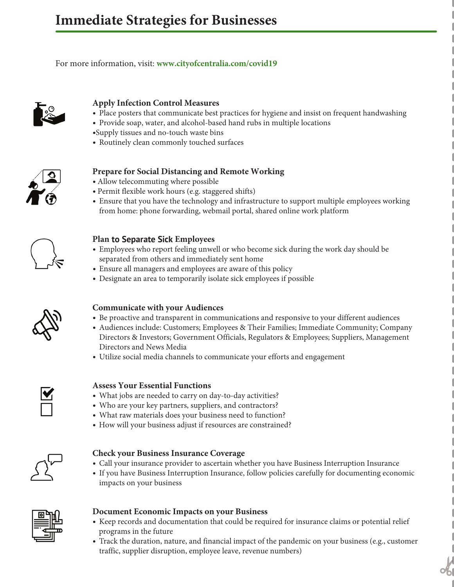Place posters that encourage staying home when sick, cough and

 $\mathbf{A}$  $I<sub>0</sub>$ **Before, during, and after an outbreak, create a culture of wellness.** For more information, visit: www.cityofcentralia.com/covid For more information, visit: www.cityofcentralia.com/covid19



TRAVEL

#### **Apply Infection Control Measures**

- Place posters that communicate best practices for hygiene and insist on frequent handwashing
- Provide soap, water, and alcohol-based hand rubs in multiple locations rovide soap, water, and alcohol-based hand rubs in multiple
	- ·Supply tissues and no-touch waste bins
	- Routinely clean commonly touched surfaces tinely clean commonly touched supply two-Make sure to have enough prescription drugs at home.



#### **Prepare for Social Distancing and Remote Working** repare for social Distancing and **work remotely.** pare for Social Distancing and Remote Working it ivi social Distancii

- · Allow telecommuting where possible
- · Permit flexible work hours (e.g. staggered shifts)
- Ensure that you have the technology and infrastructure to support multiple employees working from home: phone forwarding, webmail portal, shared online work platform iisure that you have the tec  $\mathbf{s}_1$  support multiple employees working from  $\mathbf{s}_1$ nsure that you have the technology and infrastructure to



#### Plan to Separate Sick **Employees** Trial telecommuting and flexible hours during normal (non-pandemic) lan **to Separate Sick** Employees **are aware of your policies and the work of your policies and the shock of your policies and the shock of your policies and the shock of your policies and the shock of your policies and the**

- $\left\{\begin{array}{c}\right\}$  Employees who report feeling unwell or who become sick during the work day should be converted from others and immediately sent home. separated from others and immediately sent home Employees who report feeling unwell or who example is the temporary is the month of the space for example  $\frac{1}{2}$ 
	- **Example for businesses and employees are aware of this policy** upon can managers and employees are aware or a expectation that size is stay home. If possible, designation and display the district of the an managers and employees are aware or this  $\bm{\mu}$ 
		- Ensure an managers and employees are aware of this policy<br>• Designate an area to temporarily isolate sick employees if possible



#### **Communicate with your Audiences** mmunicate with your Audiences

- Be proactive and transparent in communications and responsive to your different audiences  $\frac{H}{L}$  and misiparcin in communications and response **Decide when and how to activate and terminate your pandemic plan.**
- Audiences include: Customers; Employees & Their Families; Immediate Community; Company Directors & Investors; Government Officials, Regulators & Employees; Suppliers, Management **Increases & Investors, Government Officials, Reg**<br>Directors and News Media  $\frac{1}{2}$ How can you efficiently and effectively transfer business knowledge to
	- Utilize social media channels to communicate your efforts and engagement unze social



#### **Assess Your Essential Functions** ssess **Your Essential Functions**

- What jobs are needed to carry on day-to-day activities?
- Who are your key partners, suppliers, and contractors?
- What raw materials does your business need to function?
- How will your business adjust if resources are constrained? *Y* Hut I'm mutelling trops four business fire



#### **Check your Business Insurance Coverage** th your business insurance Coverag

- Call your insurance provider to ascertain whether you have Business Interruption Insurance
- If you have Business Interruption Insurance, follow policies carefully for documenting economic  $\frac{1}{2}$  impacts on your business you have Business Interruption Insurance, follow policies carefully fo ipacis on your bu



#### Document Economic Impacts on your Business It economic impacts on your business.

- Keep records and documentation that could be required for insurance claims or potential relief programs in the future  $\frac{10}{200}$   $\frac{10}{200}$   $\frac{10}{200}$   $\frac{10}{200}$   $\frac{10}{200}$   $\frac{10}{200}$   $\frac{10}{200}$   $\frac{10}{200}$   $\frac{10}{200}$   $\frac{10}{200}$   $\frac{10}{200}$   $\frac{10}{200}$   $\frac{10}{200}$   $\frac{10}{200}$   $\frac{10}{200}$   $\frac{10}{200}$   $\frac{10}{200}$ 
	- Track the duration, nature, and financial impact of the pandemic on your business (e.g., customer traffic, supplier disruption, employee leave, revenue numbers)  $H$ ave face-to-face-to-face-to-face-to-face-to-face-to-face-to-face-to-face-to-face-to-face-to-face-to-face-to-face-to-face-to-face-to-face-to-face-to-face-to-face-to-face-to-face-to-face-to-face-to-face-to-face-to-face-t aht, supplier uisruption, emplo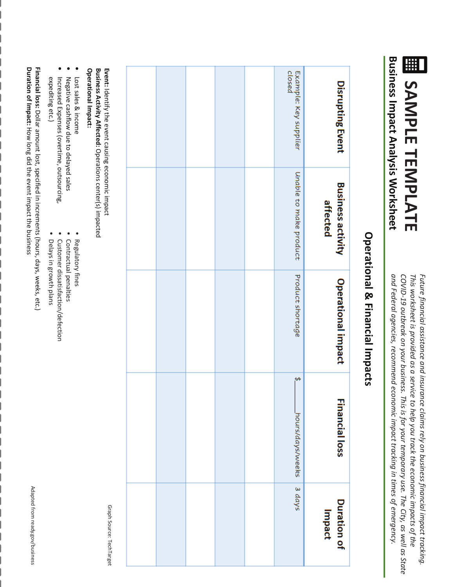**Business Impact Analysis Worksheet EL SAMPLE TEMPLATE Business Impact Analysis Worksheet Business Impact Analysis Worksheet SAMPLE TEMPLATE SAMPLE TEMPLATE**

and Federal agencies, recommend economic impact tracking in times of emergency. COVID-19 outbreak on your business. This is for your temporary use. The City, as well as State This worksheet is provided as a service to help you track the economic impacts of the Future financial assistance and insurance claims rely on business financial impact tracking. *and Federal agencies, recommend economic impact tracking in tim Future financial assistance and insurance claims rely on business financial impact tracking. COVID-19 outbreak on your business. This is for your temporary use. The City, as well as State This worksheet is provided as a service to help you track the economic impacts of the and Federal agencies, recommend economic impact tracking in tim Future financial assistance and insurance claims rely on business financial impact tracking. COVID-19 outbreak on your business. This is for your temporary use. The City, as well as State This worksheet is provided as a service to help you track the economic impacts of the es of emergency. es of emergency.* 

# **Operational & Financial Impacts Operational & Financial Impacts Operational & Financial Impacts**

| Example: Key supplier<br>closed<br>Disrupting Event<br>Unable to make product<br><b>Business activity</b><br>affected<br>Product shortage<br>Operational impact<br><del>ره</del><br><b>Financial loss</b><br>hours/days/weeks<br>$3$ days<br><b>Duration of</b><br>Impact |  |  |  |  |
|---------------------------------------------------------------------------------------------------------------------------------------------------------------------------------------------------------------------------------------------------------------------------|--|--|--|--|
|                                                                                                                                                                                                                                                                           |  |  |  |  |
|                                                                                                                                                                                                                                                                           |  |  |  |  |
|                                                                                                                                                                                                                                                                           |  |  |  |  |
|                                                                                                                                                                                                                                                                           |  |  |  |  |
|                                                                                                                                                                                                                                                                           |  |  |  |  |

Operational Impact: **Business Activity Affected:** Operations center(s) impacted **Operational Impact: Business Activity Affected:Event:Operational Impact: Business Activity Affected:** Opera Identify the event causing economic impact **Event:**fy the event causing economic impact Operations center(s) impacted Operations center(s) impacted

- Lost sales & income Lost sales & income
- Negative cashflow due to delayed sales Lost sales & income Negative cashflow due to delayed sales Negative cashflow due to delayed sales
- •
- Increased Expenses (overtime, outsourcing, expediting etc.) expediting etc.) Increased Expenses (overtime, outsourcing, ting etc.) Increased Expenses (overtime, outsourcing,
	- Contractual penalties ••
	- Regulatory fines Regulatory fines

•

- 
- ctual penalties
- 
- Customer dissatisfaction/defection Der dissatisfaction/defection
- Delays in growth plans Delays in growth plans

•

Financial loss: Dollar amount lost, specified in increments (hours, days, weeks, etc.)<br>Duration of Impact: How long did the event impact the business **Duration of Impact: Financial loss: Duration of Impact: Fial loss: Dollar** Dollar amount lost, specified in increments (hours, days, weeks, etc.) How long did the event impact the business Dollar amount lost, specified in increments (hours, days, weeks, etc.) How long did the event impact the business

> Graph Source: TechTarget Graph Source: TechTarget ource: TechTarget

Adapted from ready.gov/business

Adapted from ready.gov/business

Adapted from ready.gov/business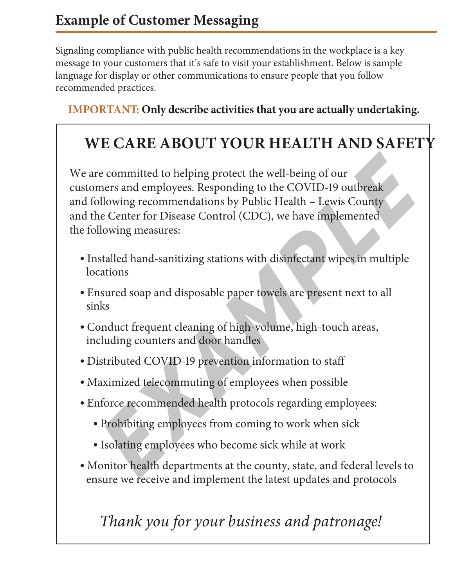Signaling compliance with public health recommendations in the workplace is a key message to your customers that it's safe to visit your establishment. Below is sample language for display or other communications to ensure people that you follow recommended practices.

### **IMPORTANT: Only describe activities that you are actually undertaking.**

## **WE CARE ABOUT YOUR HEALTH AND SAFETY**

We are committed to helping protect the well-being of our customers and employees. Responding to the COVID-19 outbreak and following recommendations by Public Health – Lewis County and the Center for Disease Control (CDC), we have implemented the following measures: re committed to helping protect the well-being of our<br>mers and employees. Responding to the COVID-19 outbreak<br>billowing recommendations by Public Health – Lewis County<br>he Center for Disease Control (CDC), we have implement

- Installed hand-sanitizing stations with disinfectant wipes in multiple locations
- Ensured soap and disposable paper towels are present next to all sinks
- Conduct frequent cleaning of high-volume, high-touch areas, including counters and door handles
- Distributed COVID-19 prevention information to staff
- Maximized telecommuting of employees when possible
- Enforce recommended health protocols regarding employees:
	- Prohibiting employees from coming to work when sick
	- Isolating employees who become sick while at work
- Monitor health departments at the county, state, and federal levels to ensure we receive and implement the latest updates and protocols

## *Thank you for your business and patronage!*